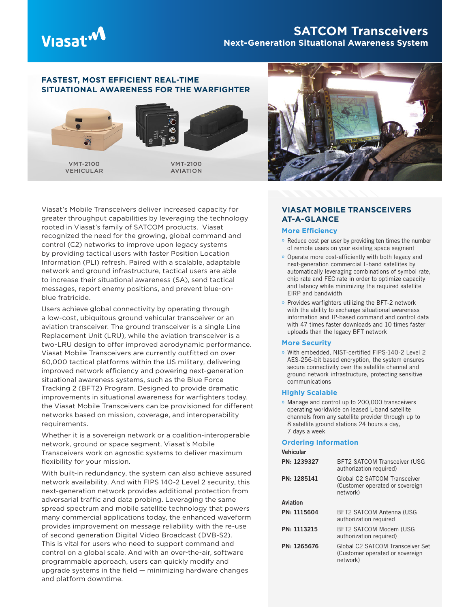

# **SATCOM Transceivers Next-Generation Situational Awareness System**

## **FASTEST, MOST EFFICIENT REAL-TIME SITUATIONAL AWARENESS FOR THE WARFIGHTER**



VEHICULAR



AVIATION

Viasat's Mobile Transceivers deliver increased capacity for greater throughput capabilities by leveraging the technology rooted in Viasat's family of SATCOM products. Viasat recognized the need for the growing, global command and control (C2) networks to improve upon legacy systems by providing tactical users with faster Position Location Information (PLI) refresh. Paired with a scalable, adaptable network and ground infrastructure, tactical users are able to increase their situational awareness (SA), send tactical messages, report enemy positions, and prevent blue-onblue fratricide.

Users achieve global connectivity by operating through a low-cost, ubiquitous ground vehicular transceiver or an aviation transceiver. The ground transceiver is a single Line Replacement Unit (LRU), while the aviation transceiver is a two-LRU design to offer improved aerodynamic performance. Viasat Mobile Transceivers are currently outfitted on over 60,000 tactical platforms within the US military, delivering improved network efficiency and powering next-generation situational awareness systems, such as the Blue Force Tracking 2 (BFT2) Program. Designed to provide dramatic improvements in situational awareness for warfighters today, the Viasat Mobile Transceivers can be provisioned for different networks based on mission, coverage, and interoperability requirements.

Whether it is a sovereign network or a coalition-interoperable network, ground or space segment, Viasat's Mobile Transceivers work on agnostic systems to deliver maximum flexibility for your mission.

With built-in redundancy, the system can also achieve assured network availability. And with FIPS 140-2 Level 2 security, this next-generation network provides additional protection from adversarial traffic and data probing. Leveraging the same spread spectrum and mobile satellite technology that powers many commercial applications today, the enhanced waveform provides improvement on message reliability with the re-use of second generation Digital Video Broadcast (DVB-S2). This is vital for users who need to support command and control on a global scale. And with an over-the-air, software programmable approach, users can quickly modify and upgrade systems in the field — minimizing hardware changes and platform downtime.



## **VIASAT MOBILE TRANSCEIVERS AT-A-GLANCE**

### **More Efficiency**

- » Reduce cost per user by providing ten times the number of remote users on your existing space segment
- » Operate more cost-efficiently with both legacy and next-generation commercial L-band satellites by automatically leveraging combinations of symbol rate, chip rate and FEC rate in order to optimize capacity and latency while minimizing the required satellite EIRP and bandwidth
- » Provides warfighters utilizing the BFT-2 network with the ability to exchange situational awareness information and IP-based command and control data with 47 times faster downloads and 10 times faster uploads than the legacy BFT network

#### **More Security**

» With embedded, NIST-certified FIPS-140-2 Level 2 AES-256-bit based encryption, the system ensures secure connectivity over the satellite channel and ground network infrastructure, protecting sensitive communications

#### **Highly Scalable**

» Manage and control up to 200,000 transceivers operating worldwide on leased L-band satellite channels from any satellite provider through up to 8 satellite ground stations 24 hours a day, 7 days a week

#### **Ordering Information**

| Vehicular   |                                                                                 |  |
|-------------|---------------------------------------------------------------------------------|--|
| PN: 1239327 | <b>BFT2 SATCOM Transceiver (USG</b><br>authorization required)                  |  |
| PN: 1285141 | Global C2 SATCOM Transceiver<br>(Customer operated or sovereign<br>network)     |  |
| Aviation    |                                                                                 |  |
| PN: 1115604 | <b>BFT2 SATCOM Antenna (USG</b><br>authorization required                       |  |
| PN: 1113215 | BFT2 SATCOM Modem (USG<br>authorization required)                               |  |
| PN: 1265676 | Global C2 SATCOM Transceiver Set<br>(Customer operated or sovereign<br>network) |  |